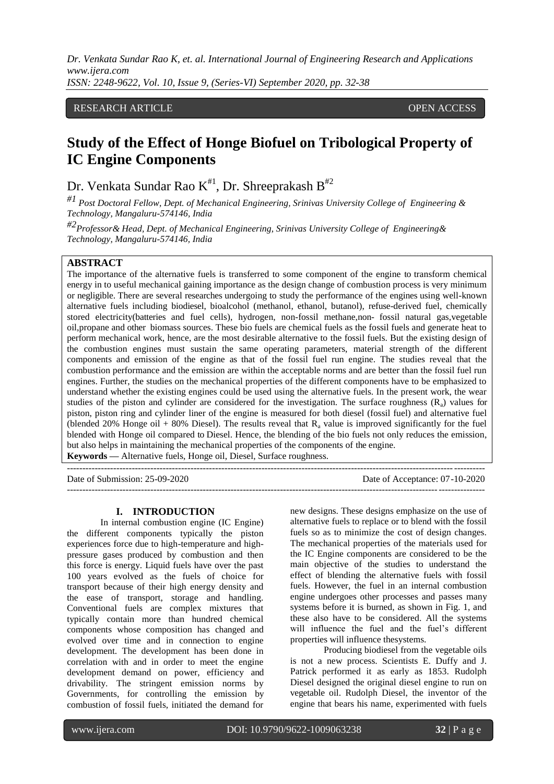# RESEARCH ARTICLE **CONTRACT OPEN ACCESS**

# **Study of the Effect of Honge Biofuel on Tribological Property of IC Engine Components**

Dr. Venkata Sundar Rao K $^{\text{\tt\#1}}$ , Dr. Shreeprakash B $^{\text{\tt\#2}}$ 

*#1 Post Doctoral Fellow, Dept. of Mechanical Engineering, Srinivas University College of Engineering & Technology, Mangaluru-574146, India*

*#2Professor& Head, Dept. of Mechanical Engineering, Srinivas University College of Engineering& Technology, Mangaluru-574146, India*

## **ABSTRACT**

The importance of the alternative fuels is transferred to some component of the engine to transform chemical energy in to useful mechanical gaining importance as the design change of combustion process is very minimum or negligible. There are several researches undergoing to study the performance of the engines using well-known alternative [fuels](https://en.wikipedia.org/wiki/Fuel) including [biodiesel,](https://en.wikipedia.org/wiki/Biodiesel) [bioalcohol](https://en.wikipedia.org/wiki/Bioalcohol) [\(methanol,](https://en.wikipedia.org/wiki/Methanol) [ethanol,](https://en.wikipedia.org/wiki/Ethanol) [butanol\)](https://en.wikipedia.org/wiki/N-Butanol), [refuse-derived fuel,](https://en.wikipedia.org/wiki/Refuse-derived_fuel) chemically stored [electricity\(](https://en.wikipedia.org/wiki/Electricity)batteries and [fuel cells\)](https://en.wikipedia.org/wiki/Fuel_cell), [hydrogen,](https://en.wikipedia.org/wiki/Hydrogen) non-fossil [methane,n](https://en.wikipedia.org/wiki/Methane)on- fossil natural gas, vegetable oil[,propane](https://en.wikipedia.org/wiki/Propane) and other [biomass s](https://en.wikipedia.org/wiki/Biomass)ources. These bio fuels are chemical fuels as the fossil fuels and generate heat to perform mechanical work, hence, are the most desirable alternative to the fossil fuels. But the existing design of the combustion engines must sustain the same operating parameters, material strength of the different components and emission of the engine as that of the fossil fuel run engine. The studies reveal that the combustion performance and the emission are within the acceptable norms and are better than the fossil fuel run engines. Further, the studies on the mechanical properties of the different components have to be emphasized to understand whether the existing engines could be used using the alternative fuels. In the present work, the wear studies of the piston and cylinder are considered for the investigation. The surface roughness  $(R<sub>a</sub>)$  values for piston, piston ring and cylinder liner of the engine is measured for both diesel (fossil fuel) and alternative fuel (blended 20% Honge oil + 80% Diesel). The results reveal that  $R_a$  value is improved significantly for the fuel blended with Honge oil compared to Diesel. Hence, the blending of the bio fuels not only reduces the emission, but also helps in maintaining the mechanical properties of the components of the engine. **Keywords —** Alternative fuels, Honge oil, Diesel, Surface roughness.

---------------------------------------------------------------------------------------------------------------------------------------

---------------------------------------------------------------------------------------------------------------------------------------

Date of Submission: 25-09-2020 Date of Acceptance: 07-10-2020

#### **I. INTRODUCTION**

In internal combustion engine (IC Engine) the different components typically the piston experiences force due to high-temperature and highpressure gases produced by combustion and then this force is energy. Liquid fuels have over the past 100 years evolved as the fuels of choice for transport because of their high energy density and the ease of transport, storage and handling. Conventional fuels are complex mixtures that typically contain more than hundred chemical components whose composition has changed and evolved over time and in connection to engine development. The development has been done in correlation with and in order to meet the engine development demand on power, efficiency and drivability. The stringent emission norms by Governments, for controlling the emission by combustion of fossil fuels, initiated the demand for

new designs. These designs emphasize on the use of alternative fuels to replace or to blend with the fossil fuels so as to minimize the cost of design changes. The mechanical properties of the materials used for the IC Engine components are considered to be the main objective of the studies to understand the effect of blending the alternative fuels with fossil fuels. However, the fuel in an internal combustion engine undergoes other processes and passes many systems before it is burned, as shown in Fig. 1, and these also have to be considered. All the systems will influence the fuel and the fuel's different properties will influence thesystems.

Producing biodiesel from the vegetable oils is not a new process. Scientists E. Duffy and J. Patrick performed it as early as 1853. Rudolph Diesel designed the original diesel engine to run on vegetable oil. Rudolph Diesel, the inventor of the engine that bears his name, experimented with fuels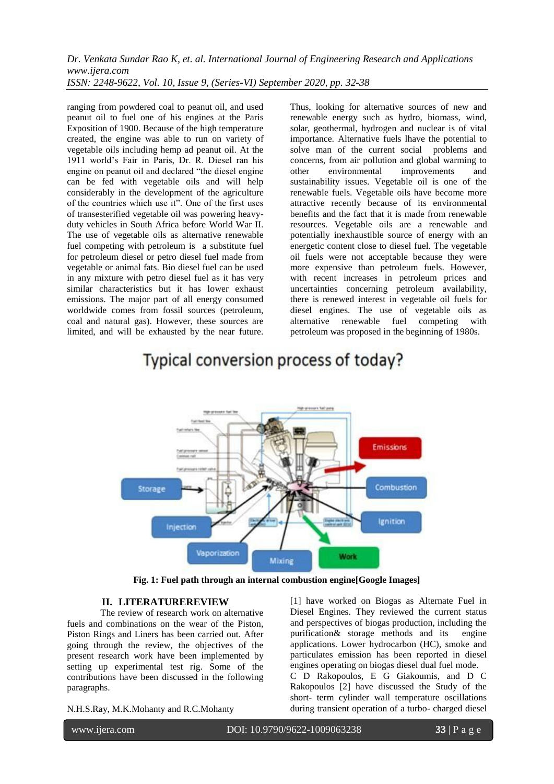ranging from powdered coal to peanut oil, and used peanut oil to fuel one of his engines at the Paris Exposition of 1900. Because of the high temperature created, the engine was able to run on variety of vegetable oils including hemp ad peanut oil. At the 1911 world's Fair in Paris, Dr. R. Diesel ran his engine on peanut oil and declared "the diesel engine can be fed with vegetable oils and will help considerably in the development of the agriculture of the countries which use it". One of the first uses of transesterified vegetable oil was powering heavyduty vehicles in South Africa before World War II. The use of vegetable oils as alternative renewable fuel competing with petroleum is a substitute fuel for petroleum diesel or petro diesel fuel made from vegetable or animal fats. Bio diesel fuel can be used in any mixture with petro diesel fuel as it has very similar characteristics but it has lower exhaust emissions. The major part of all energy consumed worldwide comes from fossil sources (petroleum, coal and natural gas). However, these sources are limited, and will be exhausted by the near future.

Thus, looking for alternative sources of new and renewable energy such as hydro, biomass, wind, solar, geothermal, hydrogen and nuclear is of vital importance. Alternative fuels lhave the potential to solve man of the current social problems and concerns, from air pollution and global warming to other environmental improvements and sustainability issues. Vegetable oil is one of the renewable fuels. Vegetable oils have become more attractive recently because of its environmental benefits and the fact that it is made from renewable resources. Vegetable oils are a renewable and potentially inexhaustible source of energy with an energetic content close to diesel fuel. The vegetable oil fuels were not acceptable because they were more expensive than petroleum fuels. However, with recent increases in petroleum prices and uncertainties concerning petroleum availability, there is renewed interest in vegetable oil fuels for diesel engines. The use of vegetable oils as alternative renewable fuel competing with petroleum was proposed in the beginning of 1980s.



# Typical conversion process of today?

**Fig. 1: Fuel path through an internal combustion engine[Google Images]**

#### **II. LITERATUREREVIEW**

The review of research work on alternative fuels and combinations on the wear of the Piston, Piston Rings and Liners has been carried out. After going through the review, the objectives of the present research work have been implemented by setting up experimental test rig. Some of the contributions have been discussed in the following paragraphs.

N.H.S.Ray, M.K.Mohanty and R.C.Mohanty

[1] have worked on Biogas as Alternate Fuel in Diesel Engines. They reviewed the current status and perspectives of biogas production, including the purification & storage methods and its engine purification& storage methods and its applications. Lower hydrocarbon (HC), smoke and particulates emission has been reported in diesel engines operating on biogas diesel dual fuel mode. C D Rakopoulos, E G Giakoumis, and D C

Rakopoulos [2] have discussed the Study of the short- term cylinder wall temperature oscillations during transient operation of a turbo- charged diesel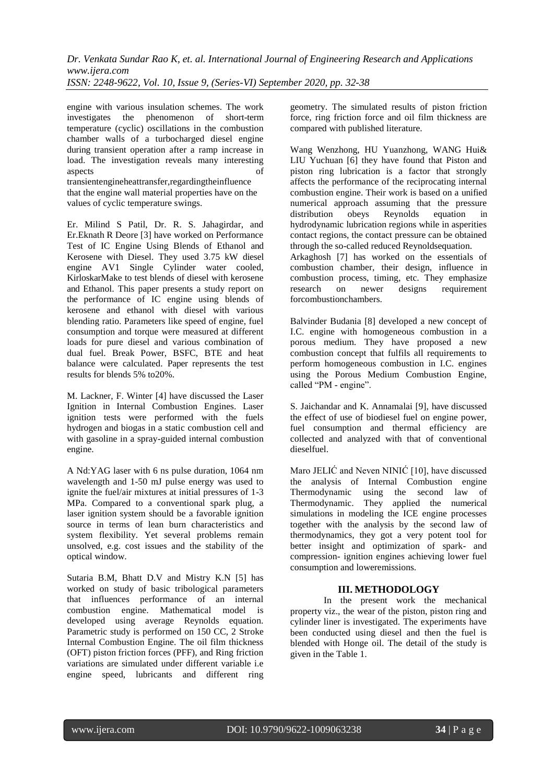engine with various insulation schemes. The work investigates the phenomenon of short-term temperature (cyclic) oscillations in the combustion chamber walls of a turbocharged diesel engine during transient operation after a ramp increase in load. The investigation reveals many interesting aspects of transientengineheattransfer,regardingtheinfluence

that the engine wall material properties have on the values of cyclic temperature swings.

Er. Milind S Patil, Dr. R. S. Jahagirdar, and Er.Eknath R Deore [3] have worked on Performance Test of IC Engine Using Blends of Ethanol and Kerosene with Diesel. They used 3.75 kW diesel engine AV1 Single Cylinder water cooled, KirloskarMake to test blends of diesel with kerosene and Ethanol. This paper presents a study report on the performance of IC engine using blends of kerosene and ethanol with diesel with various blending ratio. Parameters like speed of engine, fuel consumption and torque were measured at different loads for pure diesel and various combination of dual fuel. Break Power, BSFC, BTE and heat balance were calculated. Paper represents the test results for blends 5% to20%.

M. Lackner, F. Winter [4] have discussed the Laser Ignition in Internal Combustion Engines. Laser ignition tests were performed with the fuels hydrogen and biogas in a static combustion cell and with gasoline in a spray-guided internal combustion engine.

A Nd:YAG laser with 6 ns pulse duration, 1064 nm wavelength and 1-50 mJ pulse energy was used to ignite the fuel/air mixtures at initial pressures of 1-3 MPa. Compared to a conventional spark plug, a laser ignition system should be a favorable ignition source in terms of lean burn characteristics and system flexibility. Yet several problems remain unsolved, e.g. cost issues and the stability of the optical window.

Sutaria B.M, Bhatt D.V and Mistry K.N [5] has worked on study of basic tribological parameters that influences performance of an internal combustion engine. Mathematical model is developed using average Reynolds equation. Parametric study is performed on 150 CC, 2 Stroke Internal Combustion Engine. The oil film thickness (OFT) piston friction forces (PFF), and Ring friction variations are simulated under different variable i.e engine speed, lubricants and different ring

geometry. The simulated results of piston friction force, ring friction force and oil film thickness are compared with published literature.

Wang Wenzhong, HU Yuanzhong, WANG Hui& LIU Yuchuan [6] they have found that Piston and piston ring lubrication is a factor that strongly affects the performance of the reciprocating internal combustion engine. Their work is based on a unified numerical approach assuming that the pressure distribution obeys Reynolds equation in hydrodynamic lubrication regions while in asperities contact regions, the contact pressure can be obtained through the so-called reduced Reynoldsequation.

Arkaghosh [7] has worked on the essentials of combustion chamber, their design, influence in combustion process, timing, etc. They emphasize<br>research on newer designs requirement research on newer designs requirement forcombustionchambers.

Balvinder Budania [8] developed a new concept of I.C. engine with homogeneous combustion in a porous medium. They have proposed a new combustion concept that fulfils all requirements to perform homogeneous combustion in I.C. engines using the Porous Medium Combustion Engine, called "PM - engine".

S. Jaichandar and K. Annamalai [9], have discussed the effect of use of biodiesel fuel on engine power, fuel consumption and thermal efficiency are collected and analyzed with that of conventional dieselfuel.

Maro JELIĆ and Neven NINIĆ [10], have discussed the analysis of Internal Combustion engine Thermodynamic using the second law of Thermodynamic. They applied the numerical simulations in modeling the ICE engine processes together with the analysis by the second law of thermodynamics, they got a very potent tool for better insight and optimization of spark- and compression- ignition engines achieving lower fuel consumption and loweremissions.

# **III. METHODOLOGY**

In the present work the mechanical property viz., the wear of the piston, piston ring and cylinder liner is investigated. The experiments have been conducted using diesel and then the fuel is blended with Honge oil. The detail of the study is given in the Table 1.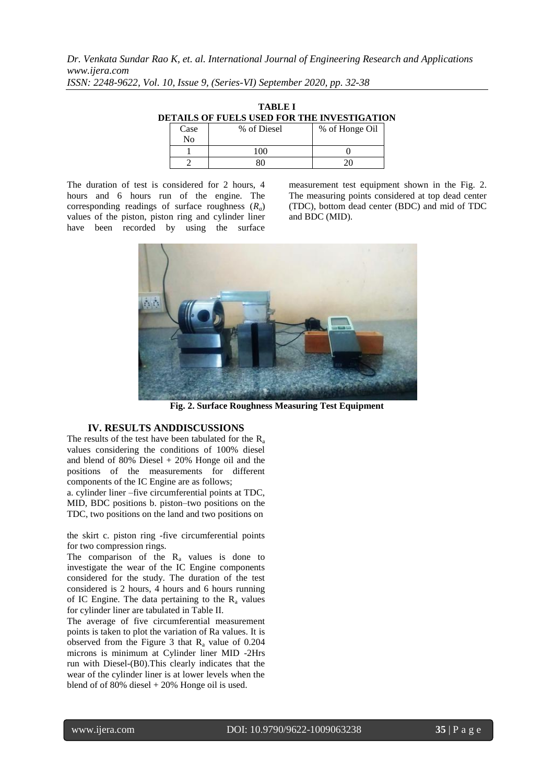| TABLE I |                                             |  |  |  |  |  |  |
|---------|---------------------------------------------|--|--|--|--|--|--|
|         | DETAILS OF FUELS USED FOR THE INVESTIGATION |  |  |  |  |  |  |
|         |                                             |  |  |  |  |  |  |

| Case<br>No | % of Diesel | % of Honge Oil |  |  |
|------------|-------------|----------------|--|--|
|            | 100         |                |  |  |
|            |             |                |  |  |

The duration of test is considered for 2 hours, 4 hours and 6 hours run of the engine. The corresponding readings of surface roughness (*Ra*) values of the piston, piston ring and cylinder liner have been recorded by using the surface

measurement test equipment shown in the Fig. 2. The measuring points considered at top dead center (TDC), bottom dead center (BDC) and mid of TDC and BDC (MID).



**Fig. 2. Surface Roughness Measuring Test Equipment**

#### **IV. RESULTS ANDDISCUSSIONS**

The results of the test have been tabulated for the  $R_a$ values considering the conditions of 100% diesel and blend of 80% Diesel + 20% Honge oil and the positions of the measurements for different components of the IC Engine are as follows;

a. cylinder liner –five circumferential points at TDC, MID, BDC positions b. piston–two positions on the TDC, two positions on the land and two positions on

the skirt c. piston ring -five circumferential points for two compression rings.

The comparison of the  $R_a$  values is done to investigate the wear of the IC Engine components considered for the study. The duration of the test considered is 2 hours, 4 hours and 6 hours running of IC Engine. The data pertaining to the  $R_a$  values for cylinder liner are tabulated in Table II.

The average of five circumferential measurement points is taken to plot the variation of Ra values. It is observed from the Figure 3 that  $R_a$  value of 0.204 microns is minimum at Cylinder liner MID -2Hrs run with Diesel-(B0).This clearly indicates that the wear of the cylinder liner is at lower levels when the blend of of 80% diesel + 20% Honge oil is used.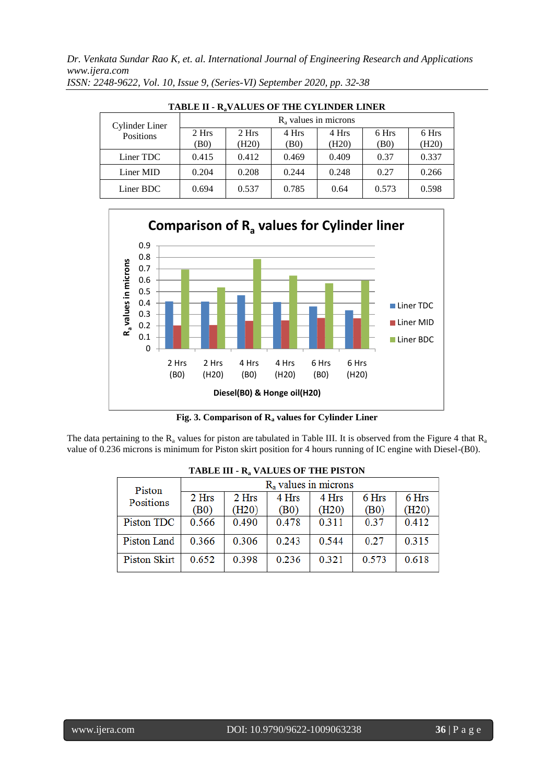*Dr. Venkata Sundar Rao K, et. al. International Journal of Engineering Research and Applications www.ijera.com*

| TABLE II - R <sub>a</sub> VALUES OF THE CYLINDER LINER |                         |       |       |       |       |       |  |
|--------------------------------------------------------|-------------------------|-------|-------|-------|-------|-------|--|
| Cylinder Liner                                         | $R_a$ values in microns |       |       |       |       |       |  |
| Positions                                              | 2 Hrs                   | 2 Hrs | 4 Hrs | 4 Hrs | 6 Hrs | 6 Hrs |  |
|                                                        | (B0)                    | (H20) | (B0)  | (H20) | (B0)  | (H20) |  |
| Liner TDC                                              | 0.415                   | 0.412 | 0.469 | 0.409 | 0.37  | 0.337 |  |
| Liner MID                                              | 0.204                   | 0.208 | 0.244 | 0.248 | 0.27  | 0.266 |  |
| Liner BDC                                              | 0.694                   | 0.537 | 0.785 | 0.64  | 0.573 | 0.598 |  |

*ISSN: 2248-9622, Vol. 10, Issue 9, (Series-VI) September 2020, pp. 32-38*



**Fig. 3. Comparison of R<sup>a</sup> values for Cylinder Liner**

The data pertaining to the  $R_a$  values for piston are tabulated in Table III. It is observed from the Figure 4 that  $R_a$ value of 0.236 microns is minimum for Piston skirt position for 4 hours running of IC engine with Diesel-(B0).

| TADLE III - N <sub>a</sub> VALUES OF THE FISTON |                         |       |       |       |       |       |  |
|-------------------------------------------------|-------------------------|-------|-------|-------|-------|-------|--|
| Piston                                          | $R_a$ values in microns |       |       |       |       |       |  |
| Positions                                       | 2 Hrs                   | 2 Hrs | 4 Hrs | 4 Hrs | 6 Hrs | 6 Hrs |  |
|                                                 | (B0)                    | (H20) | (B0)  | (H20) | (B0)  | (H20) |  |
| Piston TDC                                      | 0.566                   | 0.490 | 0.478 | 0.311 | 0.37  | 0.412 |  |
| Piston Land                                     | 0.366                   | 0.306 | 0.243 | 0.544 | 0.27  | 0.315 |  |
| Piston Skirt                                    | 0.652                   | 0.398 | 0.236 | 0.321 | 0.573 | 0.618 |  |

|  |  | TABLE III - R <sub>a</sub> VALUES OF THE PISTON |
|--|--|-------------------------------------------------|
|--|--|-------------------------------------------------|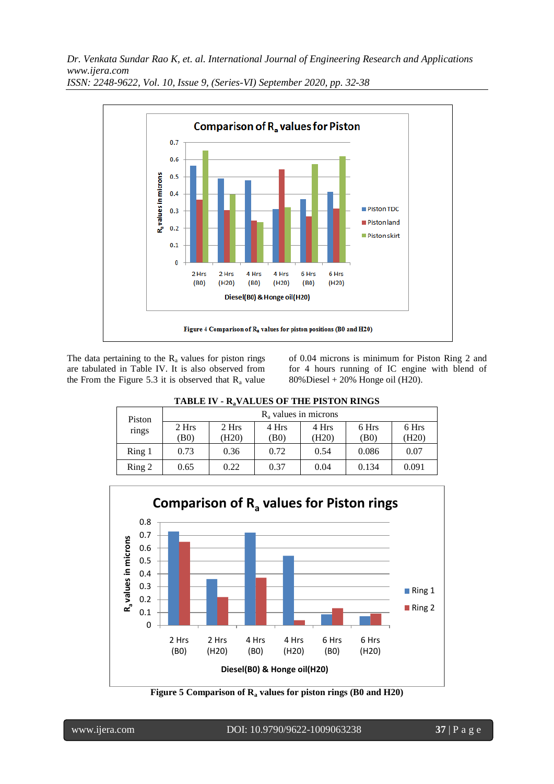*Dr. Venkata Sundar Rao K, et. al. International Journal of Engineering Research and Applications www.ijera.com*



*ISSN: 2248-9622, Vol. 10, Issue 9, (Series-VI) September 2020, pp. 32-38*

The data pertaining to the  $R_a$  values for piston rings are tabulated in Table IV. It is also observed from the From the Figure 5.3 it is observed that  $R_a$  value of 0.04 microns is minimum for Piston Ring 2 and for 4 hours running of IC engine with blend of 80%Diesel + 20% Honge oil (H20).

|                    | <b>TABLE IV - R.VALUES OF THE PISTON RINGS</b> |       |       |       |       |       |  |  |  |  |
|--------------------|------------------------------------------------|-------|-------|-------|-------|-------|--|--|--|--|
| Piston             | $R_a$ values in microns                        |       |       |       |       |       |  |  |  |  |
| rings              | 2 Hrs                                          | 2 Hrs | 4 Hrs | 4 Hrs | 6 Hrs | 6 Hrs |  |  |  |  |
|                    | (B0)                                           | (H20) | (B0)  | (H20) | (B0)  | (H20) |  |  |  |  |
| Ring 1             | 0.73                                           | 0.36  | 0.72  | 0.54  | 0.086 | 0.07  |  |  |  |  |
| $\mathrm{Ring}\ 2$ | 0.65                                           | 0.22  | 0.37  | 0.04  | 0.134 | 0.091 |  |  |  |  |

**TABLE IV - RaVALUES OF THE PISTON RINGS**